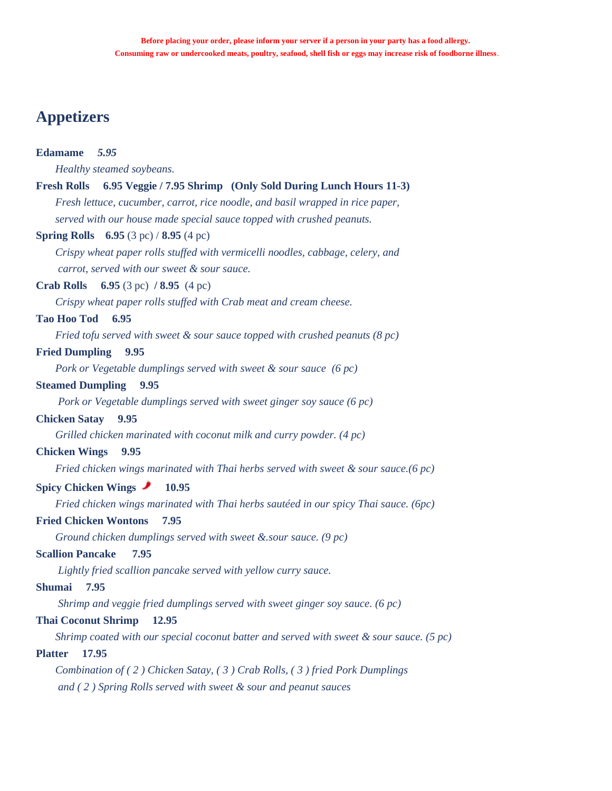## **Appetizers**

#### **Edamame** *5.95*

 *Healthy steamed soybeans.* 

#### **Fresh Rolls****6.95 Veggie / 7.95 Shrimp (Only Sold During Lunch Hours 11-3)**

 *Fresh lettuce, cucumber, carrot, rice noodle, and basil wrapped in rice paper, served with our house made special sauce topped with crushed peanuts.* 

#### **Spring Rolls 6.95** (3 pc) / **8.95** (4 pc)

 *Crispy wheat paper rolls stuffed with vermicelli noodles, cabbage, celery, and carrot, served with our sweet & sour sauce.*

### **Crab Rolls 6.95** (3 pc) **/ 8.95** (4 pc)

 *Crispy wheat paper rolls stuffed with Crab meat and cream cheese.* 

#### **Tao Hoo Tod 6.95**

 *Fried tofu served with sweet & sour sauce topped with crushed peanuts (8 pc)* 

### **Fried Dumpling 9.95**

 *Pork or Vegetable dumplings served with sweet & sour sauce (6 pc)*

#### **Steamed Dumpling 9.95**

 *Pork or Vegetable dumplings served with sweet ginger soy sauce (6 pc)*

### **Chicken Satay 9.95**

 *Grilled chicken marinated with coconut milk and curry powder. (4 pc)* 

#### **Chicken Wings 9.95**

 *Fried chicken wings marinated with Thai herbs served with sweet & sour sauce.(6 pc)*

#### **Spicy Chicken Wings** 10.95

 *Fried chicken wings marinated with Thai herbs sautéed in our spicy Thai sauce. (6pc)* 

#### **Fried Chicken Wontons 7.95**

 *Ground chicken dumplings served with sweet &.sour sauce. (9 pc)* 

### **Scallion Pancake 7.95**

 *Lightly fried scallion pancake served with yellow curry sauce.* 

### **Shumai 7.95**

 *Shrimp and veggie fried dumplings served with sweet ginger soy sauce. (6 pc)* 

### **Thai Coconut Shrimp 12.95**

 *Shrimp coated with our special coconut batter and served with sweet & sour sauce. (5 pc)*

#### **Platter 17.95**

 *Combination of ( 2 ) Chicken Satay, ( 3 ) Crab Rolls, ( 3 ) fried Pork Dumplings and ( 2 ) Spring Rolls served with sweet & sour and peanut sauces*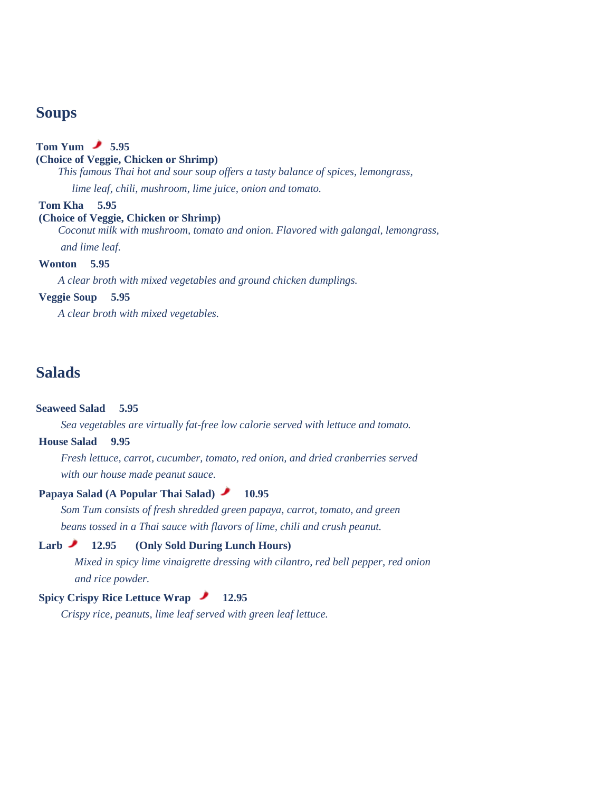## **Soups**

### **Tom Yum 5.95**

### **(Choice of Veggie, Chicken or Shrimp)**

 *This famous Thai hot and sour soup offers a tasty balance of spices, lemongrass,* 

*lime leaf, chili, mushroom, lime juice, onion and tomato.*

#### **Tom Kha 5.95**

#### **(Choice of Veggie, Chicken or Shrimp)**

 *Coconut milk with mushroom, tomato and onion. Flavored with galangal, lemongrass,* 

 *and lime leaf.*

### **Wonton 5.95**

 *A clear broth with mixed vegetables and ground chicken dumplings.* 

#### **Veggie Soup 5.95**

 *A clear broth with mixed vegetables.* 

## **Salads**

### **Seaweed Salad 5.95**

 *Sea vegetables are virtually fat-free low calorie served with lettuce and tomato.* 

### **House Salad 9.95**

 *Fresh lettuce, carrot, cucumber, tomato, red onion, and dried cranberries served with our house made peanut sauce.*

### Papaya Salad (A Popular Thai Salad) **10.95**

 *Som Tum consists of fresh shredded green papaya, carrot, tomato, and green beans tossed in a Thai sauce with flavors of lime, chili and crush peanut.*

### **Larb 12.95 (Only Sold During Lunch Hours)**

*Mixed in spicy lime vinaigrette dressing with cilantro, red bell pepper, red onion and rice powder.*

#### **Spicy Crispy Rice Lettuce Wrap 12.95**

 *Crispy rice, peanuts, lime leaf served with green leaf lettuce.*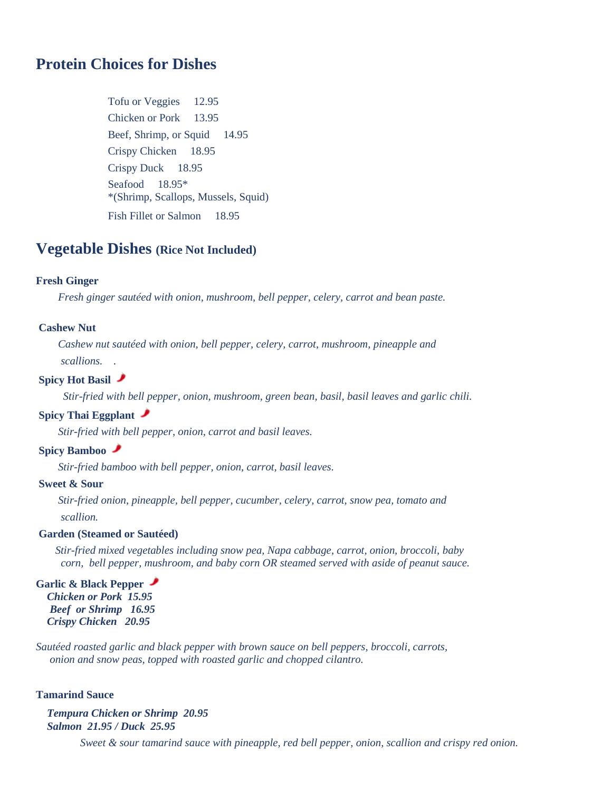## **Protein Choices for Dishes**

Tofu or Veggies 12.95 Chicken or Pork 13.95 Beef, Shrimp, or Squid 14.95 Crispy Chicken 18.95 Crispy Duck 18.95 Seafood 18.95\* \*(Shrimp, Scallops, Mussels, Squid) Fish Fillet or Salmon 18.95

## **Vegetable Dishes (Rice Not Included)**

#### **Fresh Ginger**

 *Fresh ginger sautéed with onion, mushroom, bell pepper, celery, carrot and bean paste.*

#### **Cashew Nut**

 *Cashew nut sautéed with onion, bell pepper, celery, carrot, mushroom, pineapple and scallions. .*

#### **Spicy Hot Basil**

*Stir-fried with bell pepper, onion, mushroom, green bean, basil, basil leaves and garlic chili.*

### **Spicy Thai Eggplant**

 *Stir-fried with bell pepper, onion, carrot and basil leaves.*

### **Spicy Bamboo**

 *Stir-fried bamboo with bell pepper, onion, carrot, basil leaves.*

### **Sweet & Sour**

 *Stir-fried onion, pineapple, bell pepper, cucumber, celery, carrot, snow pea, tomato and scallion.*

### **Garden (Steamed or Sautéed)**

 *Stir-fried mixed vegetables including snow pea, Napa cabbage, carrot, onion, broccoli, baby corn, bell pepper, mushroom, and baby corn OR steamed served with aside of peanut sauce.* 

### **Garlic & Black Pepper**

*Chicken or Pork 15.95* *Beef or Shrimp 16.95 Crispy Chicken 20.95*

*Sautéed roasted garlic and black pepper with brown sauce on bell peppers, broccoli, carrots, onion and snow peas, topped with roasted garlic and chopped cilantro.* 

#### **Tamarind Sauce**

*Tempura Chicken or Shrimp 20.95 Salmon 21.95 / Duck 25.95* 

 *Sweet & sour tamarind sauce with pineapple, red bell pepper, onion, scallion and crispy red onion.*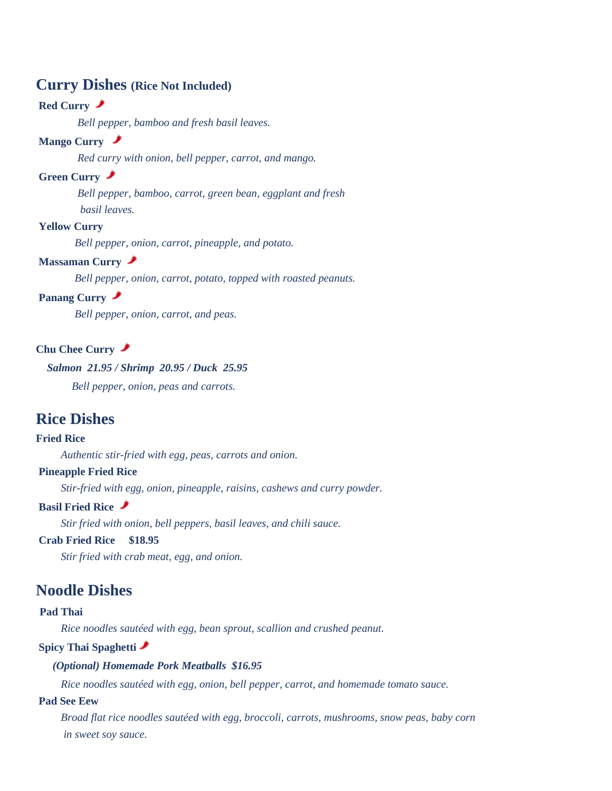## **Curry Dishes (Rice Not Included)**

### **Red Curry**

*Bell pepper, bamboo and fresh basil leaves.*

### **Mango Curry**

*Red curry with onion, bell pepper, carrot, and mango.*

### **Green Curry**

 *Bell pepper, bamboo, carrot, green bean, eggplant and fresh basil leaves.*

### **Yellow Curry**

*Bell pepper, onion, carrot, pineapple, and potato.*

### **Massaman Curry**

*Bell pepper, onion, carrot, potato, topped with roasted peanuts.*

#### **Panang Curry**

*Bell pepper, onion, carrot, and peas.*

### **Chu Chee Curry**

### *Salmon 21.95 / Shrimp 20.95 / Duck 25.95*

 *Bell pepper, onion, peas and carrots.*

## **Rice Dishes**

#### **Fried Rice**

 *Authentic stir-fried with egg, peas, carrots and onion.*

### **Pineapple Fried Rice**

 *Stir-fried with egg, onion, pineapple, raisins, cashews and curry powder.*

### **Basil Fried Rice**

 *Stir fried with onion, bell peppers, basil leaves, and chili sauce.*

#### **Crab Fried Rice \$18.95**

 *Stir fried with crab meat, egg, and onion.*

## **Noodle Dishes**

#### **Pad Thai**

 *Rice noodles sautéed with egg, bean sprout, scallion and crushed peanut.*

### **Spicy Thai Spaghetti**

#### *(Optional) Homemade Pork Meatballs \$16.95*

 *Rice noodles sautéed with egg, onion, bell pepper, carrot, and homemade tomato sauce.*

### **Pad See Eew**

 *Broad flat rice noodles sautéed with egg, broccoli, carrots, mushrooms, snow peas, baby corn in sweet soy sauce.*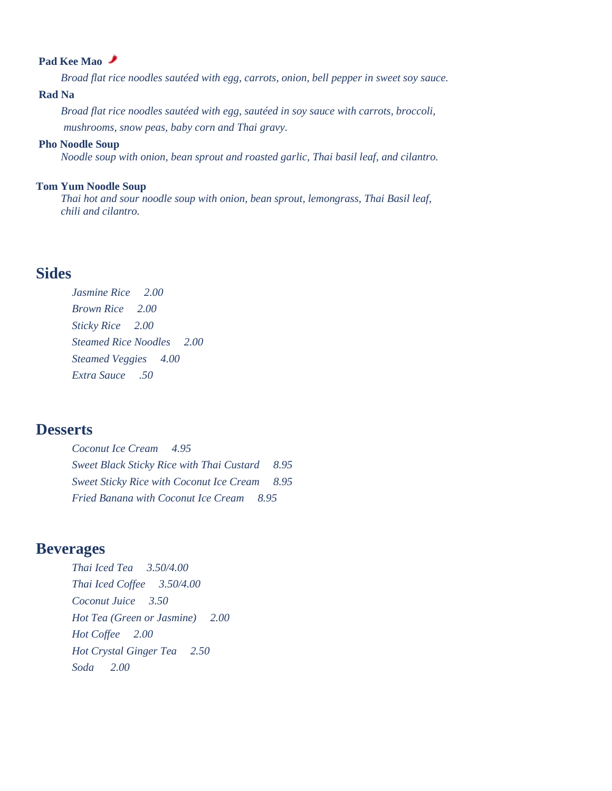### **Pad Kee Mao**

 *Broad flat rice noodles sautéed with egg, carrots, onion, bell pepper in sweet soy sauce.*

#### **Rad Na**

 *Broad flat rice noodles sautéed with egg, sautéed in soy sauce with carrots, broccoli, mushrooms, snow peas, baby corn and Thai gravy.*

#### **Pho Noodle Soup**

 *Noodle soup with onion, bean sprout and roasted garlic, Thai basil leaf, and cilantro.* 

#### **Tom Yum Noodle Soup**

 *Thai hot and sour noodle soup with onion, bean sprout, lemongrass, Thai Basil leaf, chili and cilantro.*

## **Sides**

*Jasmine Rice 2.00 Brown Rice 2.00 Sticky Rice 2.00 Steamed Rice Noodles 2.00 Steamed Veggies 4.00 Extra Sauce .50*

## **Desserts**

*Coconut Ice Cream 4.95 Sweet Black Sticky Rice with Thai Custard 8.95 Sweet Sticky Rice with Coconut Ice Cream 8.95 Fried Banana with Coconut Ice Cream 8.95*

## **Beverages**

*Thai Iced Tea 3.50/4.00 Thai Iced Coffee 3.50/4.00 Coconut Juice 3.50 Hot Tea (Green or Jasmine) 2.00 Hot Coffee 2.00 Hot Crystal Ginger Tea 2.50 Soda 2.00*